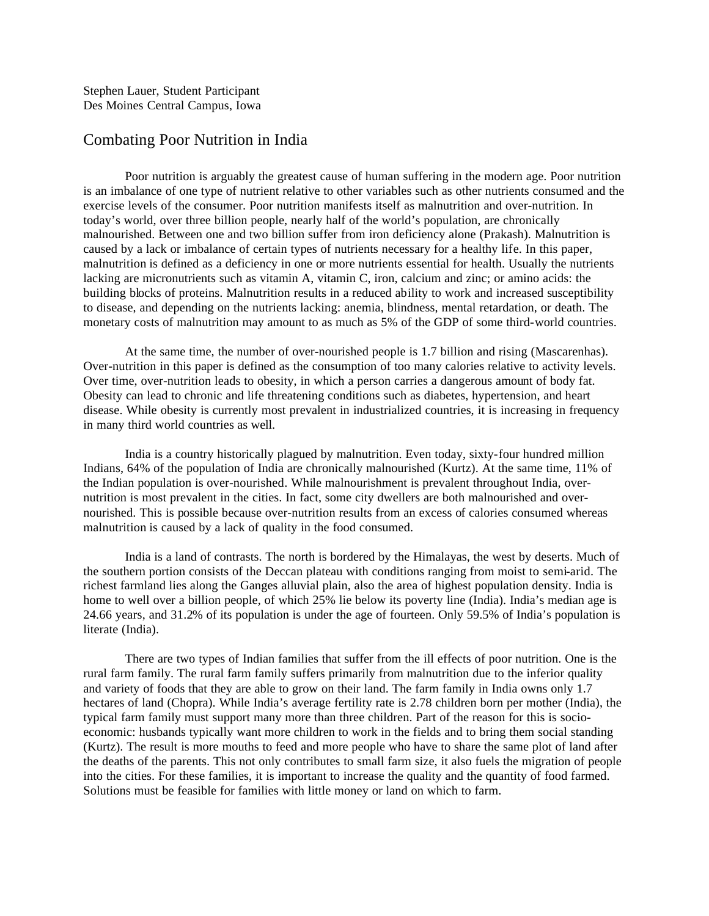Stephen Lauer, Student Participant Des Moines Central Campus, Iowa

## Combating Poor Nutrition in India

Poor nutrition is arguably the greatest cause of human suffering in the modern age. Poor nutrition is an imbalance of one type of nutrient relative to other variables such as other nutrients consumed and the exercise levels of the consumer. Poor nutrition manifests itself as malnutrition and over-nutrition. In today's world, over three billion people, nearly half of the world's population, are chronically malnourished. Between one and two billion suffer from iron deficiency alone (Prakash). Malnutrition is caused by a lack or imbalance of certain types of nutrients necessary for a healthy life. In this paper, malnutrition is defined as a deficiency in one or more nutrients essential for health. Usually the nutrients lacking are micronutrients such as vitamin A, vitamin C, iron, calcium and zinc; or amino acids: the building blocks of proteins. Malnutrition results in a reduced ability to work and increased susceptibility to disease, and depending on the nutrients lacking: anemia, blindness, mental retardation, or death. The monetary costs of malnutrition may amount to as much as 5% of the GDP of some third-world countries.

At the same time, the number of over-nourished people is 1.7 billion and rising (Mascarenhas). Over-nutrition in this paper is defined as the consumption of too many calories relative to activity levels. Over time, over-nutrition leads to obesity, in which a person carries a dangerous amount of body fat. Obesity can lead to chronic and life threatening conditions such as diabetes, hypertension, and heart disease. While obesity is currently most prevalent in industrialized countries, it is increasing in frequency in many third world countries as well.

India is a country historically plagued by malnutrition. Even today, sixty-four hundred million Indians, 64% of the population of India are chronically malnourished (Kurtz). At the same time, 11% of the Indian population is over-nourished. While malnourishment is prevalent throughout India, overnutrition is most prevalent in the cities. In fact, some city dwellers are both malnourished and overnourished. This is possible because over-nutrition results from an excess of calories consumed whereas malnutrition is caused by a lack of quality in the food consumed.

India is a land of contrasts. The north is bordered by the Himalayas, the west by deserts. Much of the southern portion consists of the Deccan plateau with conditions ranging from moist to semi-arid. The richest farmland lies along the Ganges alluvial plain, also the area of highest population density. India is home to well over a billion people, of which 25% lie below its poverty line (India). India's median age is 24.66 years, and 31.2% of its population is under the age of fourteen. Only 59.5% of India's population is literate (India).

There are two types of Indian families that suffer from the ill effects of poor nutrition. One is the rural farm family. The rural farm family suffers primarily from malnutrition due to the inferior quality and variety of foods that they are able to grow on their land. The farm family in India owns only 1.7 hectares of land (Chopra). While India's average fertility rate is 2.78 children born per mother (India), the typical farm family must support many more than three children. Part of the reason for this is socioeconomic: husbands typically want more children to work in the fields and to bring them social standing (Kurtz). The result is more mouths to feed and more people who have to share the same plot of land after the deaths of the parents. This not only contributes to small farm size, it also fuels the migration of people into the cities. For these families, it is important to increase the quality and the quantity of food farmed. Solutions must be feasible for families with little money or land on which to farm.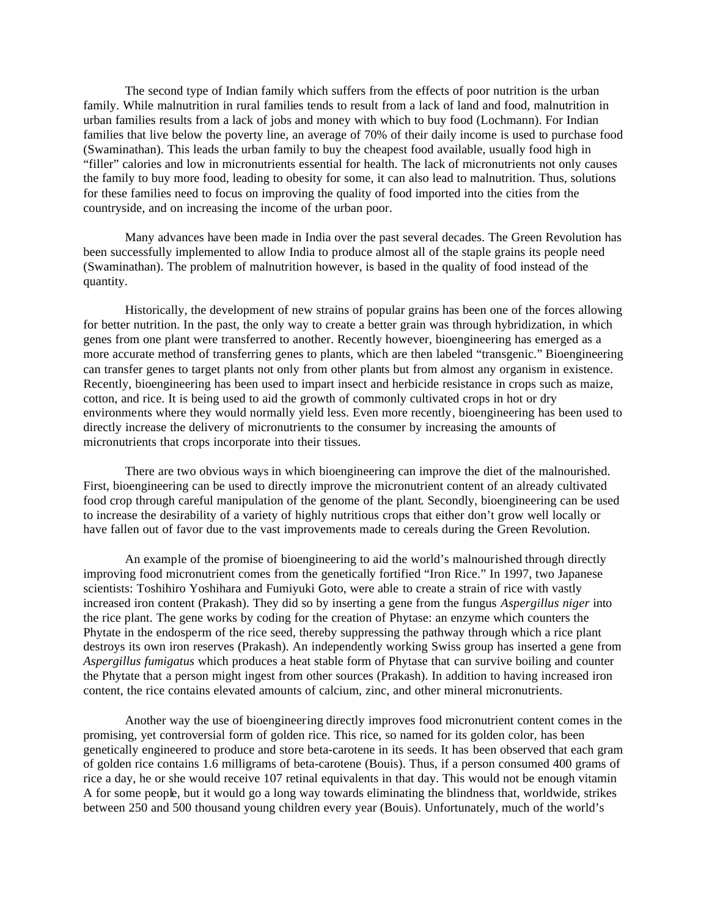The second type of Indian family which suffers from the effects of poor nutrition is the urban family. While malnutrition in rural families tends to result from a lack of land and food, malnutrition in urban families results from a lack of jobs and money with which to buy food (Lochmann). For Indian families that live below the poverty line, an average of 70% of their daily income is used to purchase food (Swaminathan). This leads the urban family to buy the cheapest food available, usually food high in "filler" calories and low in micronutrients essential for health. The lack of micronutrients not only causes the family to buy more food, leading to obesity for some, it can also lead to malnutrition. Thus, solutions for these families need to focus on improving the quality of food imported into the cities from the countryside, and on increasing the income of the urban poor.

Many advances have been made in India over the past several decades. The Green Revolution has been successfully implemented to allow India to produce almost all of the staple grains its people need (Swaminathan). The problem of malnutrition however, is based in the quality of food instead of the quantity.

Historically, the development of new strains of popular grains has been one of the forces allowing for better nutrition. In the past, the only way to create a better grain was through hybridization, in which genes from one plant were transferred to another. Recently however, bioengineering has emerged as a more accurate method of transferring genes to plants, which are then labeled "transgenic." Bioengineering can transfer genes to target plants not only from other plants but from almost any organism in existence. Recently, bioengineering has been used to impart insect and herbicide resistance in crops such as maize, cotton, and rice. It is being used to aid the growth of commonly cultivated crops in hot or dry environments where they would normally yield less. Even more recently, bioengineering has been used to directly increase the delivery of micronutrients to the consumer by increasing the amounts of micronutrients that crops incorporate into their tissues.

There are two obvious ways in which bioengineering can improve the diet of the malnourished. First, bioengineering can be used to directly improve the micronutrient content of an already cultivated food crop through careful manipulation of the genome of the plant. Secondly, bioengineering can be used to increase the desirability of a variety of highly nutritious crops that either don't grow well locally or have fallen out of favor due to the vast improvements made to cereals during the Green Revolution.

An example of the promise of bioengineering to aid the world's malnourished through directly improving food micronutrient comes from the genetically fortified "Iron Rice." In 1997, two Japanese scientists: Toshihiro Yoshihara and Fumiyuki Goto, were able to create a strain of rice with vastly increased iron content (Prakash). They did so by inserting a gene from the fungus *Aspergillus niger* into the rice plant. The gene works by coding for the creation of Phytase: an enzyme which counters the Phytate in the endosperm of the rice seed, thereby suppressing the pathway through which a rice plant destroys its own iron reserves (Prakash). An independently working Swiss group has inserted a gene from *Aspergillus fumigatus* which produces a heat stable form of Phytase that can survive boiling and counter the Phytate that a person might ingest from other sources (Prakash). In addition to having increased iron content, the rice contains elevated amounts of calcium, zinc, and other mineral micronutrients.

Another way the use of bioengineering directly improves food micronutrient content comes in the promising, yet controversial form of golden rice. This rice, so named for its golden color, has been genetically engineered to produce and store beta-carotene in its seeds. It has been observed that each gram of golden rice contains 1.6 milligrams of beta-carotene (Bouis). Thus, if a person consumed 400 grams of rice a day, he or she would receive 107 retinal equivalents in that day. This would not be enough vitamin A for some people, but it would go a long way towards eliminating the blindness that, worldwide, strikes between 250 and 500 thousand young children every year (Bouis). Unfortunately, much of the world's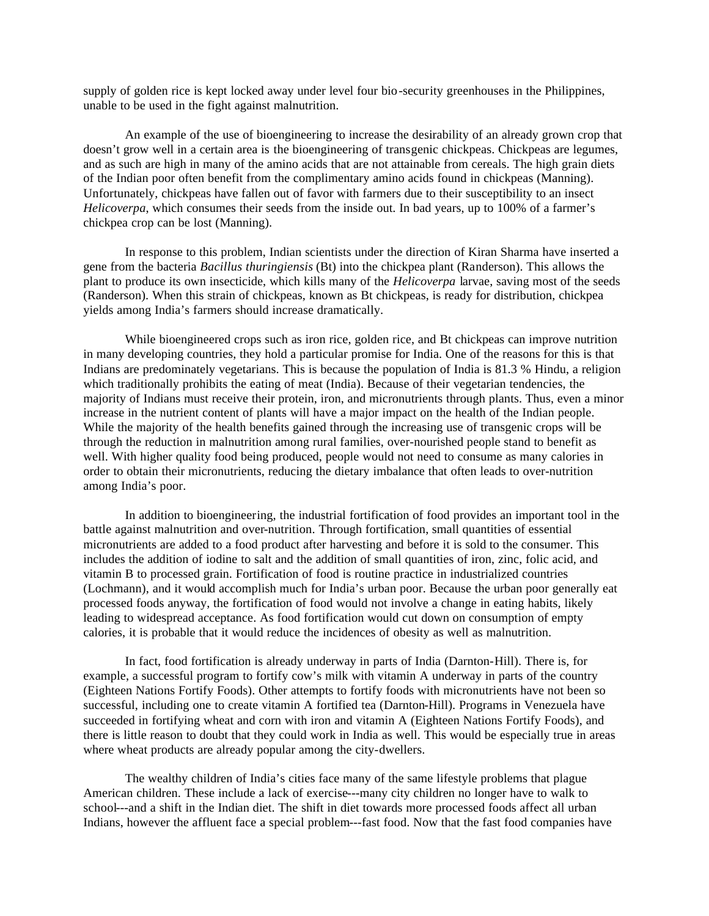supply of golden rice is kept locked away under level four bio-security greenhouses in the Philippines, unable to be used in the fight against malnutrition.

An example of the use of bioengineering to increase the desirability of an already grown crop that doesn't grow well in a certain area is the bioengineering of transgenic chickpeas. Chickpeas are legumes, and as such are high in many of the amino acids that are not attainable from cereals. The high grain diets of the Indian poor often benefit from the complimentary amino acids found in chickpeas (Manning). Unfortunately, chickpeas have fallen out of favor with farmers due to their susceptibility to an insect *Helicoverpa*, which consumes their seeds from the inside out. In bad years, up to 100% of a farmer's chickpea crop can be lost (Manning).

In response to this problem, Indian scientists under the direction of Kiran Sharma have inserted a gene from the bacteria *Bacillus thuringiensis* (Bt) into the chickpea plant (Randerson). This allows the plant to produce its own insecticide, which kills many of the *Helicoverpa* larvae, saving most of the seeds (Randerson). When this strain of chickpeas, known as Bt chickpeas, is ready for distribution, chickpea yields among India's farmers should increase dramatically.

While bioengineered crops such as iron rice, golden rice, and Bt chickpeas can improve nutrition in many developing countries, they hold a particular promise for India. One of the reasons for this is that Indians are predominately vegetarians. This is because the population of India is 81.3 % Hindu, a religion which traditionally prohibits the eating of meat (India). Because of their vegetarian tendencies, the majority of Indians must receive their protein, iron, and micronutrients through plants. Thus, even a minor increase in the nutrient content of plants will have a major impact on the health of the Indian people. While the majority of the health benefits gained through the increasing use of transgenic crops will be through the reduction in malnutrition among rural families, over-nourished people stand to benefit as well. With higher quality food being produced, people would not need to consume as many calories in order to obtain their micronutrients, reducing the dietary imbalance that often leads to over-nutrition among India's poor.

In addition to bioengineering, the industrial fortification of food provides an important tool in the battle against malnutrition and over-nutrition. Through fortification, small quantities of essential micronutrients are added to a food product after harvesting and before it is sold to the consumer. This includes the addition of iodine to salt and the addition of small quantities of iron, zinc, folic acid, and vitamin B to processed grain. Fortification of food is routine practice in industrialized countries (Lochmann), and it would accomplish much for India's urban poor. Because the urban poor generally eat processed foods anyway, the fortification of food would not involve a change in eating habits, likely leading to widespread acceptance. As food fortification would cut down on consumption of empty calories, it is probable that it would reduce the incidences of obesity as well as malnutrition.

In fact, food fortification is already underway in parts of India (Darnton-Hill). There is, for example, a successful program to fortify cow's milk with vitamin A underway in parts of the country (Eighteen Nations Fortify Foods). Other attempts to fortify foods with micronutrients have not been so successful, including one to create vitamin A fortified tea (Darnton-Hill). Programs in Venezuela have succeeded in fortifying wheat and corn with iron and vitamin A (Eighteen Nations Fortify Foods), and there is little reason to doubt that they could work in India as well. This would be especially true in areas where wheat products are already popular among the city-dwellers.

The wealthy children of India's cities face many of the same lifestyle problems that plague American children. These include a lack of exercise---many city children no longer have to walk to school---and a shift in the Indian diet. The shift in diet towards more processed foods affect all urban Indians, however the affluent face a special problem---fast food. Now that the fast food companies have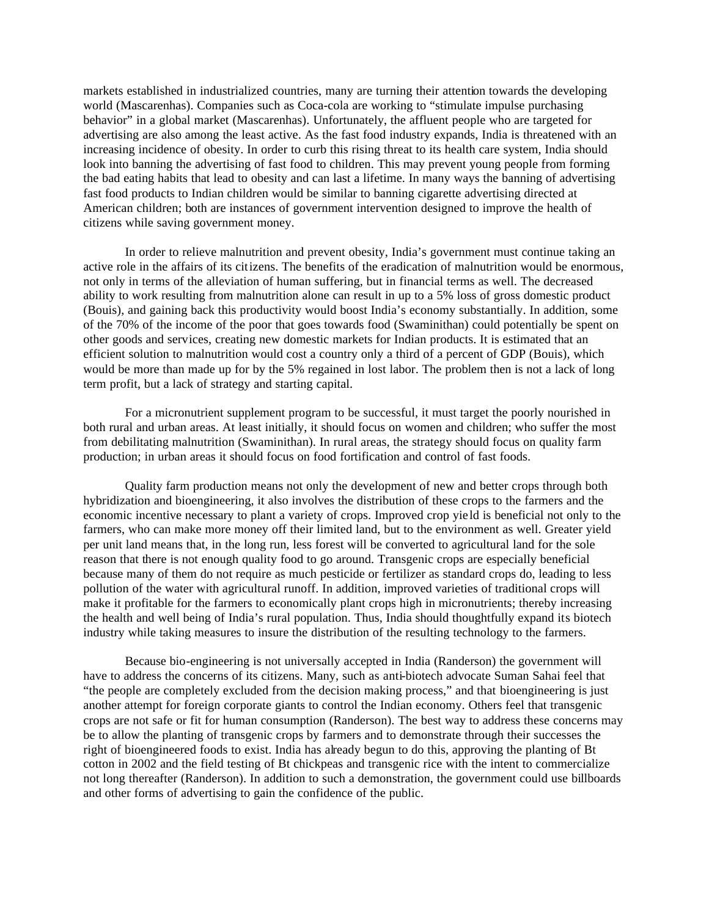markets established in industrialized countries, many are turning their attention towards the developing world (Mascarenhas). Companies such as Coca-cola are working to "stimulate impulse purchasing behavior" in a global market (Mascarenhas). Unfortunately, the affluent people who are targeted for advertising are also among the least active. As the fast food industry expands, India is threatened with an increasing incidence of obesity. In order to curb this rising threat to its health care system, India should look into banning the advertising of fast food to children. This may prevent young people from forming the bad eating habits that lead to obesity and can last a lifetime. In many ways the banning of advertising fast food products to Indian children would be similar to banning cigarette advertising directed at American children; both are instances of government intervention designed to improve the health of citizens while saving government money.

In order to relieve malnutrition and prevent obesity, India's government must continue taking an active role in the affairs of its citizens. The benefits of the eradication of malnutrition would be enormous, not only in terms of the alleviation of human suffering, but in financial terms as well. The decreased ability to work resulting from malnutrition alone can result in up to a 5% loss of gross domestic product (Bouis), and gaining back this productivity would boost India's economy substantially. In addition, some of the 70% of the income of the poor that goes towards food (Swaminithan) could potentially be spent on other goods and services, creating new domestic markets for Indian products. It is estimated that an efficient solution to malnutrition would cost a country only a third of a percent of GDP (Bouis), which would be more than made up for by the 5% regained in lost labor. The problem then is not a lack of long term profit, but a lack of strategy and starting capital.

For a micronutrient supplement program to be successful, it must target the poorly nourished in both rural and urban areas. At least initially, it should focus on women and children; who suffer the most from debilitating malnutrition (Swaminithan). In rural areas, the strategy should focus on quality farm production; in urban areas it should focus on food fortification and control of fast foods.

Quality farm production means not only the development of new and better crops through both hybridization and bioengineering, it also involves the distribution of these crops to the farmers and the economic incentive necessary to plant a variety of crops. Improved crop yie ld is beneficial not only to the farmers, who can make more money off their limited land, but to the environment as well. Greater yield per unit land means that, in the long run, less forest will be converted to agricultural land for the sole reason that there is not enough quality food to go around. Transgenic crops are especially beneficial because many of them do not require as much pesticide or fertilizer as standard crops do, leading to less pollution of the water with agricultural runoff. In addition, improved varieties of traditional crops will make it profitable for the farmers to economically plant crops high in micronutrients; thereby increasing the health and well being of India's rural population. Thus, India should thoughtfully expand its biotech industry while taking measures to insure the distribution of the resulting technology to the farmers.

Because bio-engineering is not universally accepted in India (Randerson) the government will have to address the concerns of its citizens. Many, such as anti-biotech advocate Suman Sahai feel that "the people are completely excluded from the decision making process," and that bioengineering is just another attempt for foreign corporate giants to control the Indian economy. Others feel that transgenic crops are not safe or fit for human consumption (Randerson). The best way to address these concerns may be to allow the planting of transgenic crops by farmers and to demonstrate through their successes the right of bioengineered foods to exist. India has already begun to do this, approving the planting of Bt cotton in 2002 and the field testing of Bt chickpeas and transgenic rice with the intent to commercialize not long thereafter (Randerson). In addition to such a demonstration, the government could use billboards and other forms of advertising to gain the confidence of the public.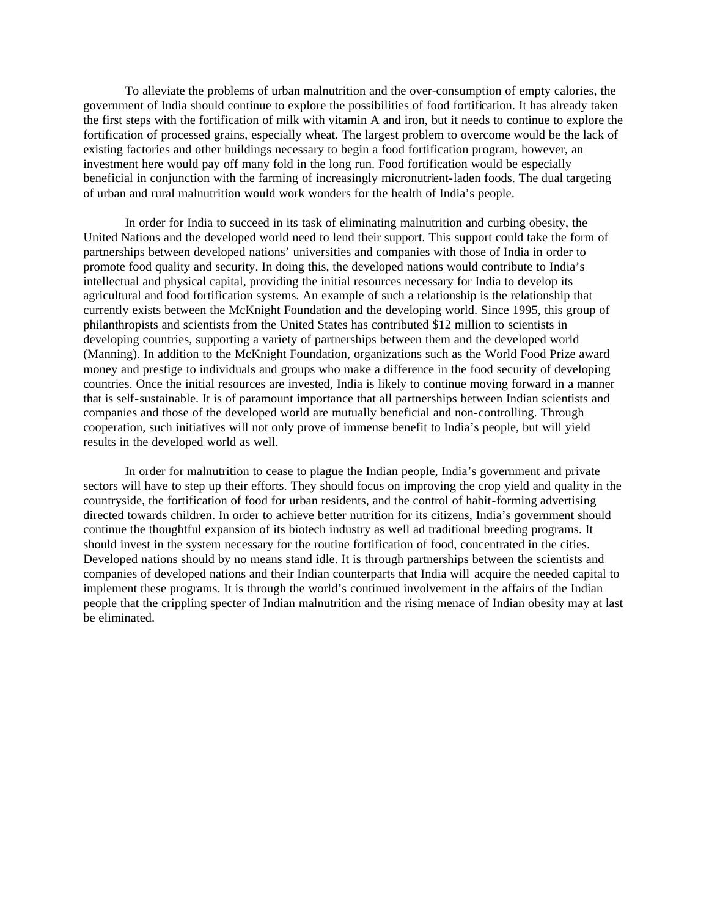To alleviate the problems of urban malnutrition and the over-consumption of empty calories, the government of India should continue to explore the possibilities of food fortification. It has already taken the first steps with the fortification of milk with vitamin A and iron, but it needs to continue to explore the fortification of processed grains, especially wheat. The largest problem to overcome would be the lack of existing factories and other buildings necessary to begin a food fortification program, however, an investment here would pay off many fold in the long run. Food fortification would be especially beneficial in conjunction with the farming of increasingly micronutrient-laden foods. The dual targeting of urban and rural malnutrition would work wonders for the health of India's people.

In order for India to succeed in its task of eliminating malnutrition and curbing obesity, the United Nations and the developed world need to lend their support. This support could take the form of partnerships between developed nations' universities and companies with those of India in order to promote food quality and security. In doing this, the developed nations would contribute to India's intellectual and physical capital, providing the initial resources necessary for India to develop its agricultural and food fortification systems. An example of such a relationship is the relationship that currently exists between the McKnight Foundation and the developing world. Since 1995, this group of philanthropists and scientists from the United States has contributed \$12 million to scientists in developing countries, supporting a variety of partnerships between them and the developed world (Manning). In addition to the McKnight Foundation, organizations such as the World Food Prize award money and prestige to individuals and groups who make a difference in the food security of developing countries. Once the initial resources are invested, India is likely to continue moving forward in a manner that is self-sustainable. It is of paramount importance that all partnerships between Indian scientists and companies and those of the developed world are mutually beneficial and non-controlling. Through cooperation, such initiatives will not only prove of immense benefit to India's people, but will yield results in the developed world as well.

In order for malnutrition to cease to plague the Indian people, India's government and private sectors will have to step up their efforts. They should focus on improving the crop yield and quality in the countryside, the fortification of food for urban residents, and the control of habit-forming advertising directed towards children. In order to achieve better nutrition for its citizens, India's government should continue the thoughtful expansion of its biotech industry as well ad traditional breeding programs. It should invest in the system necessary for the routine fortification of food, concentrated in the cities. Developed nations should by no means stand idle. It is through partnerships between the scientists and companies of developed nations and their Indian counterparts that India will acquire the needed capital to implement these programs. It is through the world's continued involvement in the affairs of the Indian people that the crippling specter of Indian malnutrition and the rising menace of Indian obesity may at last be eliminated.